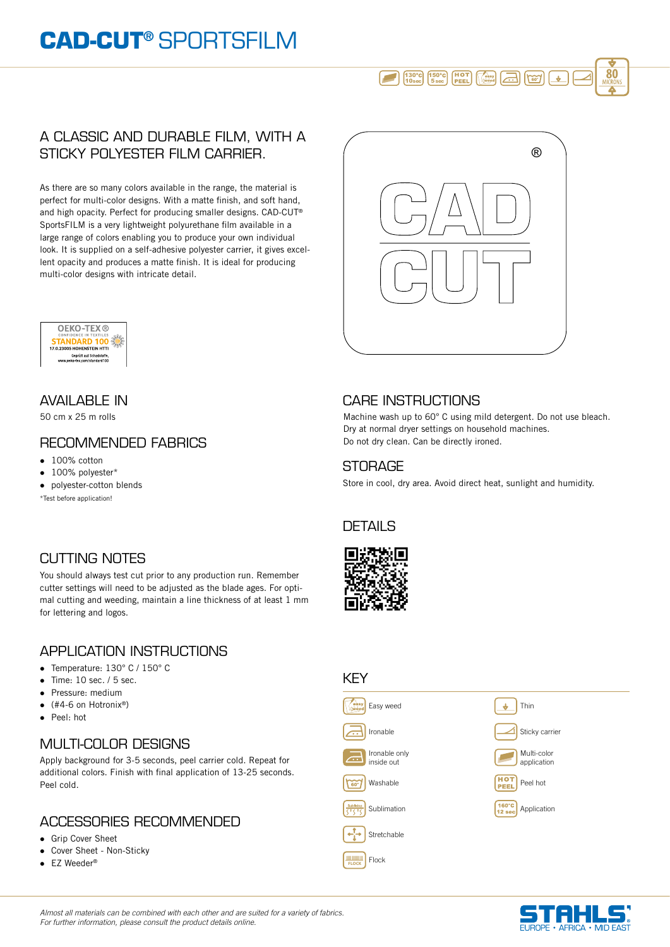# **CAD-CUT®** SPORTSFILM

# 150° **80** 5 sec 130° 10 sec

#### A CLASSIC AND DURABLE FILM, WITH A STICKY POLYESTER FILM CARRIER.

As there are so many colors available in the range, the material is perfect for multi-color designs. With a matte finish, and soft hand, and high opacity. Perfect for producing smaller designs. CAD-CUT® SportsFILM is a very lightweight polyurethane film available in a large range of colors enabling you to produce your own individual look. It is supplied on a self-adhesive polyester carrier, it gives excellent opacity and produces a matte finish. It is ideal for producing multi-color designs with intricate detail.





50 cm x 25 m rolls

### RECOMMENDED FABRICS

- $\bullet$  100% cotton
- 100% polyester\*
- polyester-cotton blends

\*Test before application!

# CUTTING NOTES

You should always test cut prior to any production run. Remember cutter settings will need to be adjusted as the blade ages. For optimal cutting and weeding, maintain a line thickness of at least 1 mm for lettering and logos.

## APPLICATION INSTRUCTIONS

- Temperature: 130° C / 150° C
- $\bullet$  Time: 10 sec. / 5 sec.
- **Pressure: medium**
- $\bullet$  (#4-6 on Hotronix®)
- Peel: hot

# MULTI-COLOR DESIGNS

Apply background for 3-5 seconds, peel carrier cold. Repeat for additional colors. Finish with final application of 13-25 seconds. Peel cold.

## ACCESSORIES RECOMMENDED

- **.** Grip Cover Sheet
- Cover Sheet Non-Sticky
- $\bullet$  EZ Weeder®

# AVAILABLE IN CARE INSTRUCTIONS

Machine wash up to 60° C using mild detergent. Do not use bleach. Dry at normal dryer settings on household machines. Do not dry clean. Can be directly ironed.

#### **STORAGE**

Store in cool, dry area. Avoid direct heat, sunlight and humidity.

#### **DETAILS**